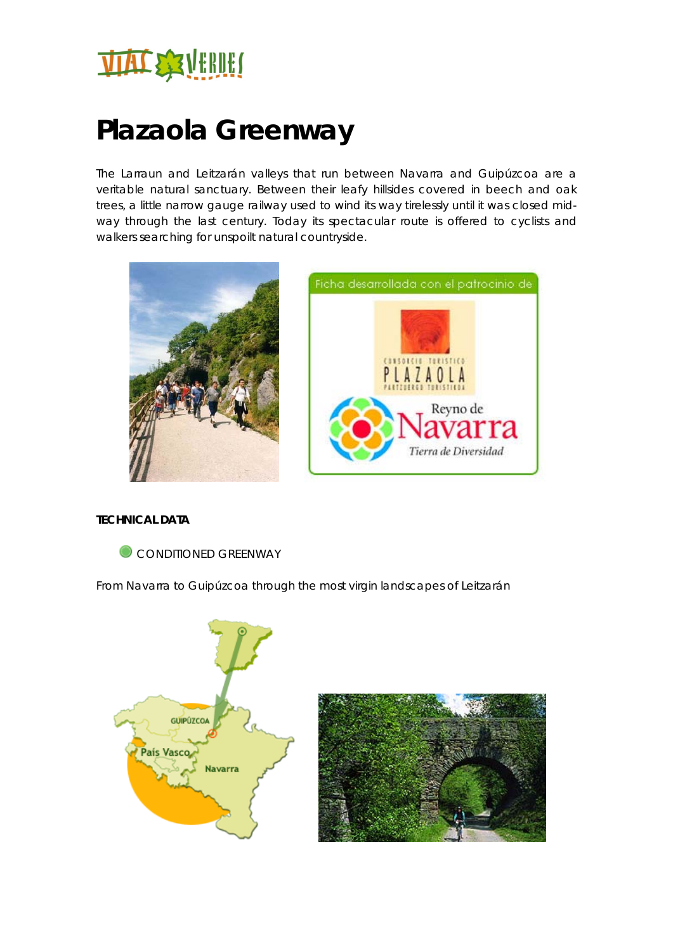

# **Plazaola Greenway**

The Larraun and Leitzarán valleys that run between Navarra and Guipúzcoa are a veritable natural sanctuary. Between their leafy hillsides covered in beech and oak trees, a little narrow gauge railway used to wind its way tirelessly until it was closed midway through the last century. Today its spectacular route is offered to cyclists and walkers searching for unspoilt natural countryside.





# **TECHNICAL DATA**



From Navarra to Guipúzcoa through the most virgin landscapes of Leitzarán

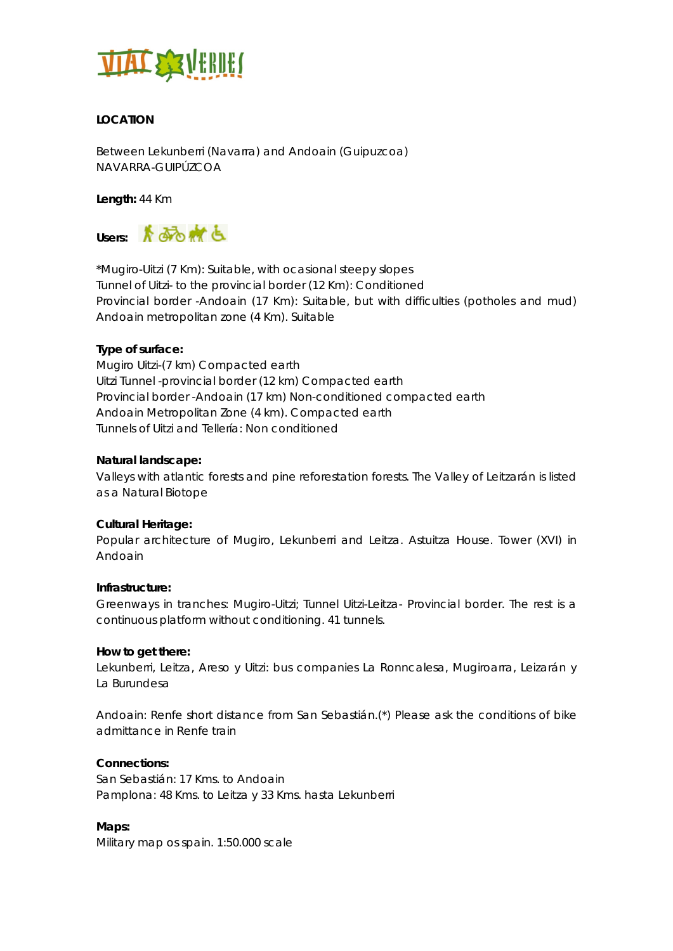

# **LOCATION**

Between Lekunberri (Navarra) and Andoain (Guipuzcoa) NAVARRA-GUIPÚZCOA

**Length:** 44 Km



\*Mugiro-Uitzi (7 Km): Suitable, with ocasional steepy slopes Tunnel of Uitzi- to the provincial border (12 Km): Conditioned Provincial border -Andoain (17 Km): Suitable, but with difficulties (potholes and mud) Andoain metropolitan zone (4 Km). Suitable

# **Type of surface:**

Mugiro Uitzi-(7 km) Compacted earth Uitzi Tunnel -provincial border (12 km) Compacted earth Provincial border -Andoain (17 km) Non-conditioned compacted earth Andoain Metropolitan Zone (4 km). Compacted earth Tunnels of Uitzi and Tellería: Non conditioned

#### **Natural landscape:**

Valleys with atlantic forests and pine reforestation forests. The Valley of Leitzarán is listed as a Natural Biotope

#### **Cultural Heritage:**

Popular architecture of Mugiro, Lekunberri and Leitza. Astuitza House. Tower (XVI) in Andoain

# **Infrastructure:**

Greenways in tranches: Mugiro-Uitzi; Tunnel Uitzi-Leitza- Provincial border. The rest is a continuous platform without conditioning. 41 tunnels.

#### **How to get there:**

Lekunberri, Leitza, Areso y Uitzi: bus companies La Ronncalesa, Mugiroarra, Leizarán y La Burundesa

Andoain: Renfe short distance from San Sebastián.(\*) Please ask the conditions of bike admittance in Renfe train

# **Connections:**

San Sebastián: 17 Kms. to Andoain Pamplona: 48 Kms. to Leitza y 33 Kms. hasta Lekunberri

**Maps:**  Military map os spain. 1:50.000 scale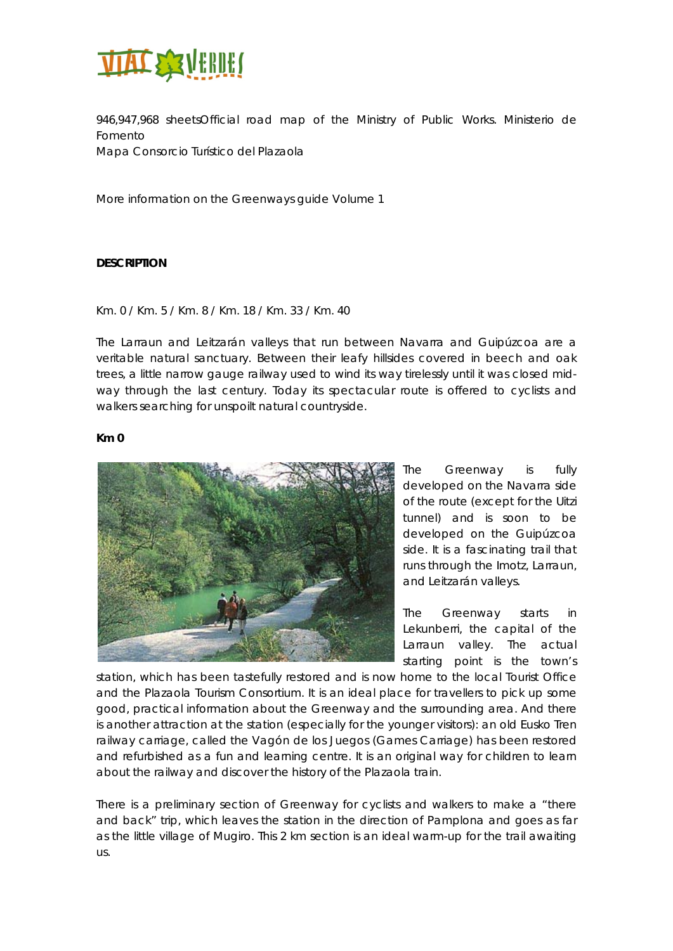

946,947,968 sheetsOfficial road map of the Ministry of Public Works. Ministerio de Fomento

Mapa Consorcio Turístico del Plazaola

More information on the Greenways guide Volume 1

# **DESCRIPTION**

#### Km. 0 / Km. 5 / Km. 8 / Km. 18 / Km. 33 / Km. 40

The Larraun and Leitzarán valleys that run between Navarra and Guipúzcoa are a veritable natural sanctuary. Between their leafy hillsides covered in beech and oak trees, a little narrow gauge railway used to wind its way tirelessly until it was closed midway through the last century. Today its spectacular route is offered to cyclists and walkers searching for unspoilt natural countryside.

#### **Km 0**



The Greenway is fully developed on the Navarra side of the route (except for the Uitzi tunnel) and is soon to be developed on the Guipúzcoa side. It is a fascinating trail that runs through the Imotz, Larraun, and Leitzarán valleys.

The Greenway starts in Lekunberri, the capital of the Larraun valley. The actual starting point is the town's

station, which has been tastefully restored and is now home to the local Tourist Office and the Plazaola Tourism Consortium. It is an ideal place for travellers to pick up some good, practical information about the Greenway and the surrounding area. And there is another attraction at the station (especially for the younger visitors): an old Eusko Tren railway carriage, called the Vagón de los Juegos (Games Carriage) has been restored and refurbished as a fun and learning centre. It is an original way for children to learn about the railway and discover the history of the Plazaola train.

There is a preliminary section of Greenway for cyclists and walkers to make a "there and back" trip, which leaves the station in the direction of Pamplona and goes as far as the little village of Mugiro. This 2 km section is an ideal warm-up for the trail awaiting us.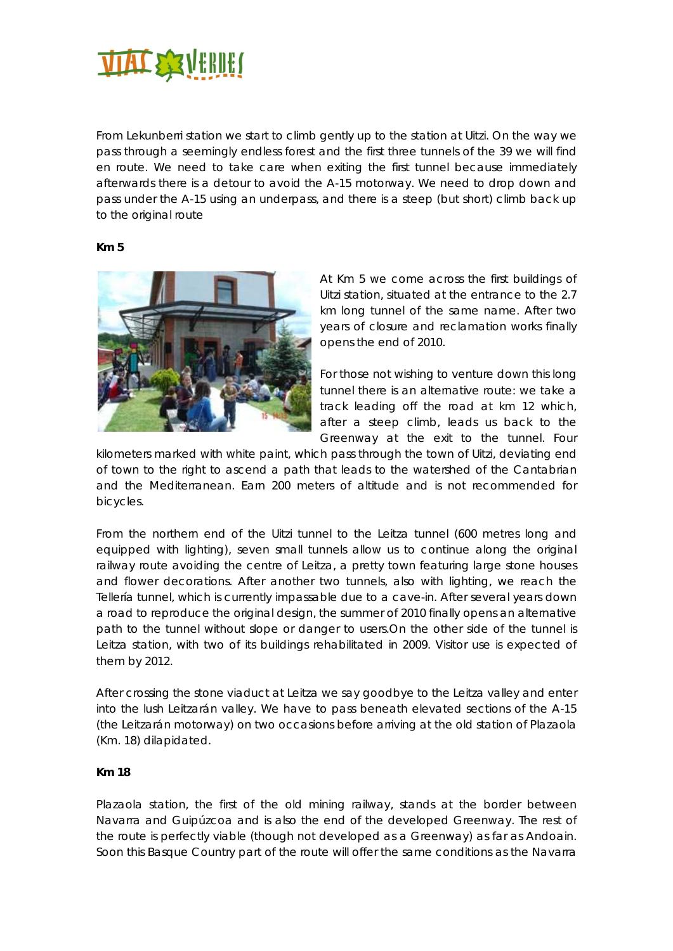

From Lekunberri station we start to climb gently up to the station at Uitzi. On the way we pass through a seemingly endless forest and the first three tunnels of the 39 we will find en route. We need to take care when exiting the first tunnel because immediately afterwards there is a detour to avoid the A-15 motorway. We need to drop down and pass under the A-15 using an underpass, and there is a steep (but short) climb back up to the original route

#### **Km 5**



At Km 5 we come across the first buildings of Uitzi station, situated at the entrance to the 2.7 km long tunnel of the same name. After two years of closure and reclamation works finally opens the end of 2010.

For those not wishing to venture down this long tunnel there is an alternative route: we take a track leading off the road at km 12 which, after a steep climb, leads us back to the Greenway at the exit to the tunnel. Four

kilometers marked with white paint, which pass through the town of Uitzi, deviating end of town to the right to ascend a path that leads to the watershed of the Cantabrian and the Mediterranean. Earn 200 meters of altitude and is not recommended for bicycles.

From the northern end of the Uitzi tunnel to the Leitza tunnel (600 metres long and equipped with lighting), seven small tunnels allow us to continue along the original railway route avoiding the centre of Leitza, a pretty town featuring large stone houses and flower decorations. After another two tunnels, also with lighting, we reach the Tellería tunnel, which is currently impassable due to a cave-in. After several years down a road to reproduce the original design, the summer of 2010 finally opens an alternative path to the tunnel without slope or danger to users.On the other side of the tunnel is Leitza station, with two of its buildings rehabilitated in 2009. Visitor use is expected of them by 2012.

After crossing the stone viaduct at Leitza we say goodbye to the Leitza valley and enter into the lush Leitzarán valley. We have to pass beneath elevated sections of the A-15 (the Leitzarán motorway) on two occasions before arriving at the old station of Plazaola (Km. 18) dilapidated.

#### **Km 18**

Plazaola station, the first of the old mining railway, stands at the border between Navarra and Guipúzcoa and is also the end of the developed Greenway. The rest of the route is perfectly viable (though not developed as a Greenway) as far as Andoain. Soon this Basque Country part of the route will offer the same conditions as the Navarra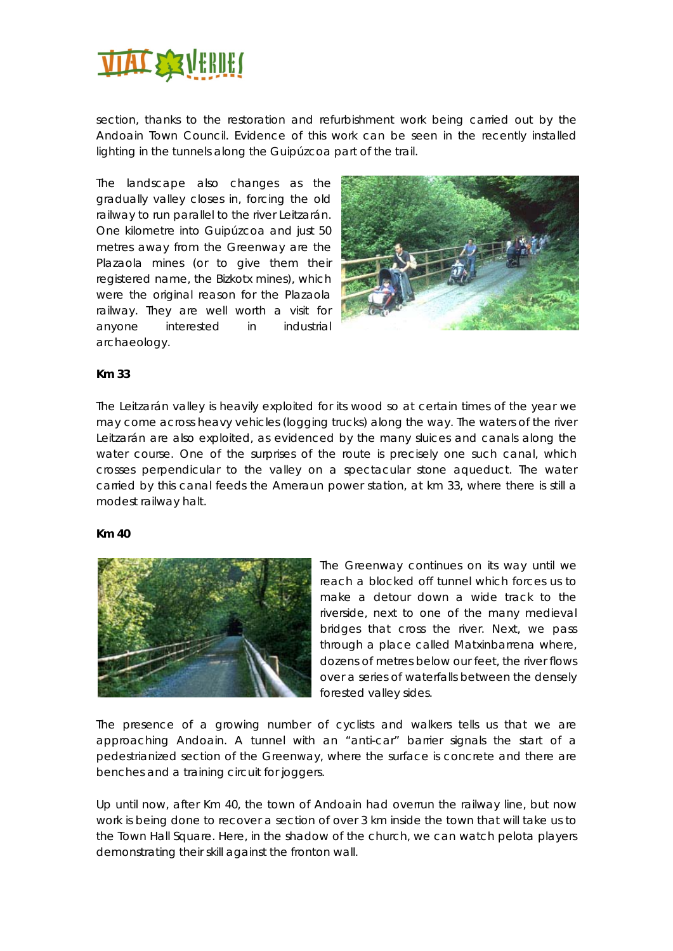

section, thanks to the restoration and refurbishment work being carried out by the Andoain Town Council. Evidence of this work can be seen in the recently installed lighting in the tunnels along the Guipúzcoa part of the trail.

The landscape also changes as the gradually valley closes in, forcing the old railway to run parallel to the river Leitzarán. One kilometre into Guipúzcoa and just 50 metres away from the Greenway are the Plazaola mines (or to give them their registered name, the Bizkotx mines), which were the original reason for the Plazaola railway. They are well worth a visit for anyone interested in industrial archaeology.



#### **Km 33**

The Leitzarán valley is heavily exploited for its wood so at certain times of the year we may come across heavy vehicles (logging trucks) along the way. The waters of the river Leitzarán are also exploited, as evidenced by the many sluices and canals along the water course. One of the surprises of the route is precisely one such canal, which crosses perpendicular to the valley on a spectacular stone aqueduct. The water carried by this canal feeds the Ameraun power station, at km 33, where there is still a modest railway halt.

#### **Km 40**



The Greenway continues on its way until we reach a blocked off tunnel which forces us to make a detour down a wide track to the riverside, next to one of the many medieval bridges that cross the river. Next, we pass through a place called Matxinbarrena where, dozens of metres below our feet, the river flows over a series of waterfalls between the densely forested valley sides.

The presence of a growing number of cyclists and walkers tells us that we are approaching Andoain. A tunnel with an "anti-car" barrier signals the start of a pedestrianized section of the Greenway, where the surface is concrete and there are benches and a training circuit for joggers.

Up until now, after Km 40, the town of Andoain had overrun the railway line, but now work is being done to recover a section of over 3 km inside the town that will take us to the Town Hall Square. Here, in the shadow of the church, we can watch pelota players demonstrating their skill against the fronton wall.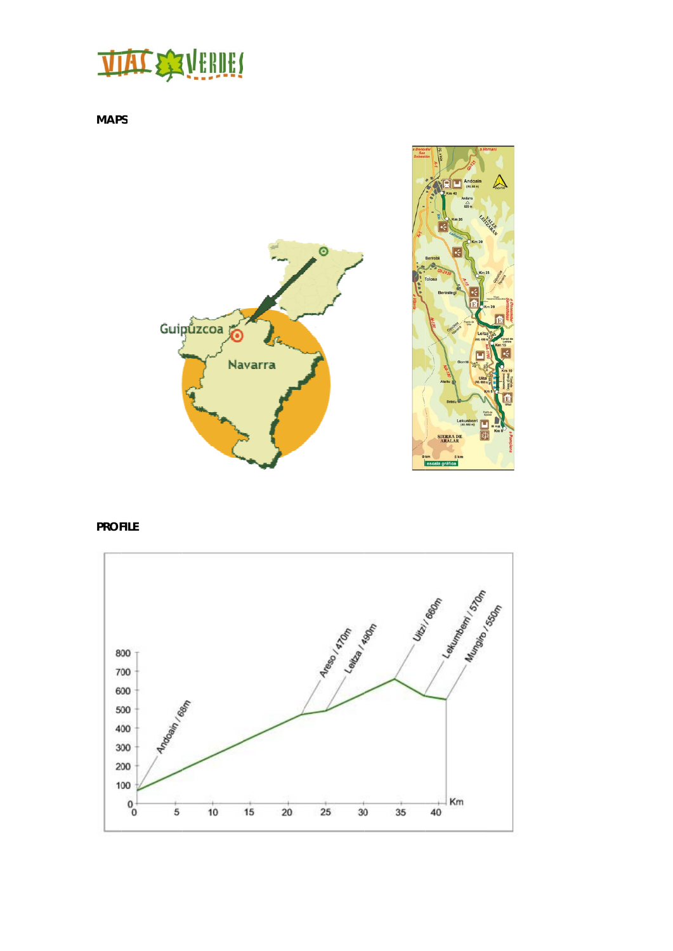# **TIAL SEAVEBIEL**

**MAPS**



**PROFILE** 

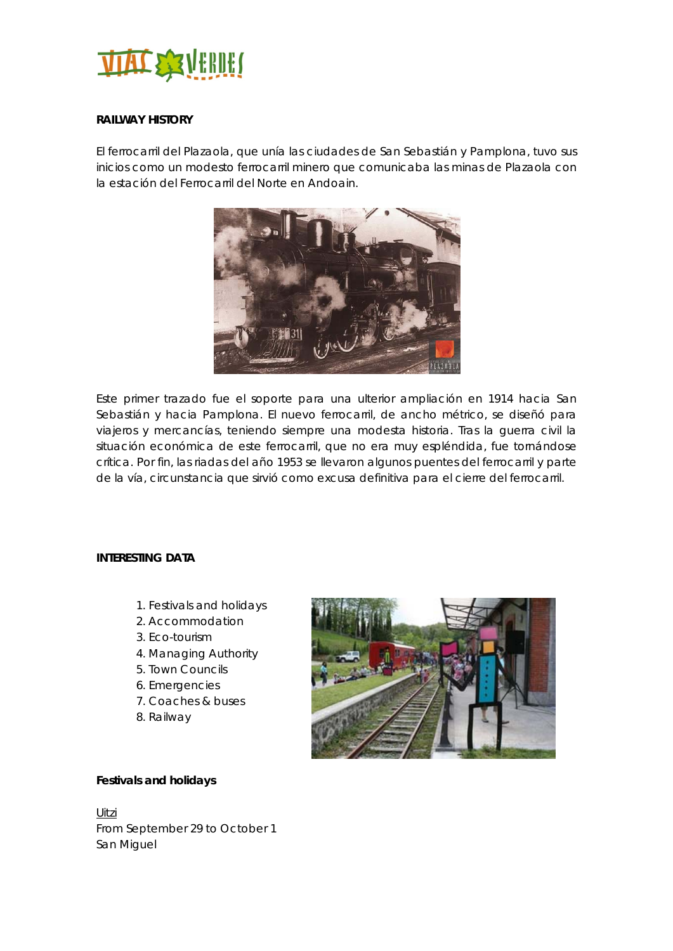

# **RAILWAY HISTORY**

El ferrocarril del Plazaola, que unía las ciudades de San Sebastián y Pamplona, tuvo sus inicios como un modesto ferrocarril minero que comunicaba las minas de Plazaola con la estación del Ferrocarril del Norte en Andoain.



Este primer trazado fue el soporte para una ulterior ampliación en 1914 hacia San Sebastián y hacia Pamplona. El nuevo ferrocarril, de ancho métrico, se diseñó para viajeros y mercancías, teniendo siempre una modesta historia. Tras la guerra civil la situación económica de este ferrocarril, que no era muy espléndida, fue tornándose crítica. Por fin, las riadas del año 1953 se llevaron algunos puentes del ferrocarril y parte de la vía, circunstancia que sirvió como excusa definitiva para el cierre del ferrocarril.

#### **INTERESTING DATA**

- 1. Festivals and holidays
- 2. Accommodation
- 3. Eco-tourism
- 4. Managing Authority
- 5. Town Councils
- 6. Emergencies
- 7. Coaches & buses
- 8. Railway



# **Festivals and holidays**

Uitzi From September 29 to October 1 San Miguel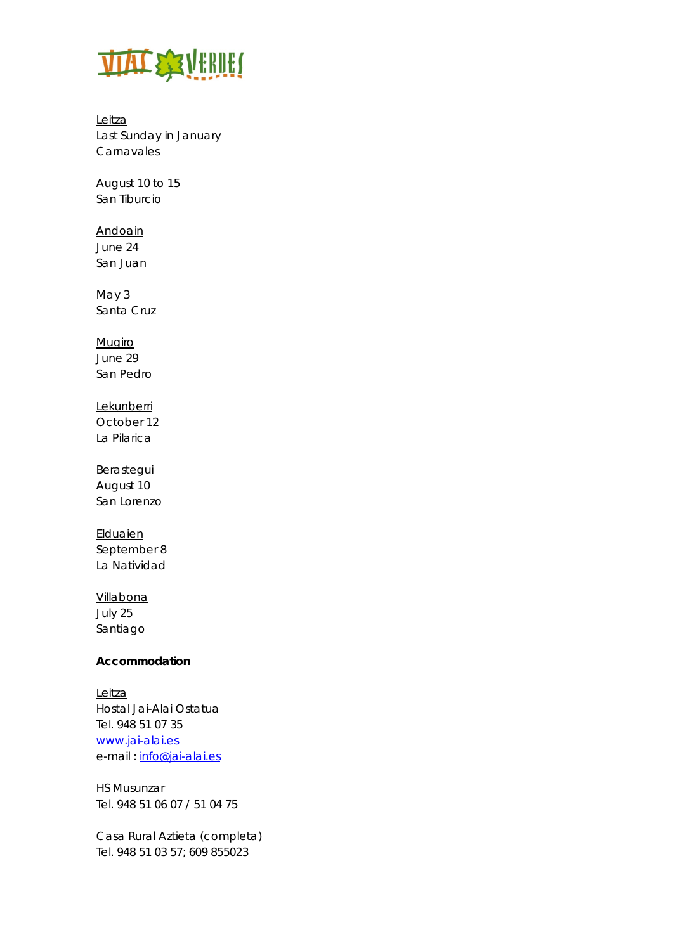

Leitza Last Sunday in January Carnavales

August 10 to 15 San Tiburcio

Andoain June 24 San Juan

May 3 Santa Cruz

Mugiro June 29 San Pedro

**Lekunberri** October 12 La Pilarica

**Berastegui** August 10 San Lorenzo

**Elduaien** September 8 La Natividad

Villabona July 25 Santiago

# **Accommodation**

Leitza Hostal Jai-Alai Ostatua Tel. 948 51 07 35 www.jai-alai.es e-mail : info@jai-alai.es

HS Musunzar Tel. 948 51 06 07 / 51 04 75

Casa Rural Aztieta (completa) Tel. 948 51 03 57; 609 855023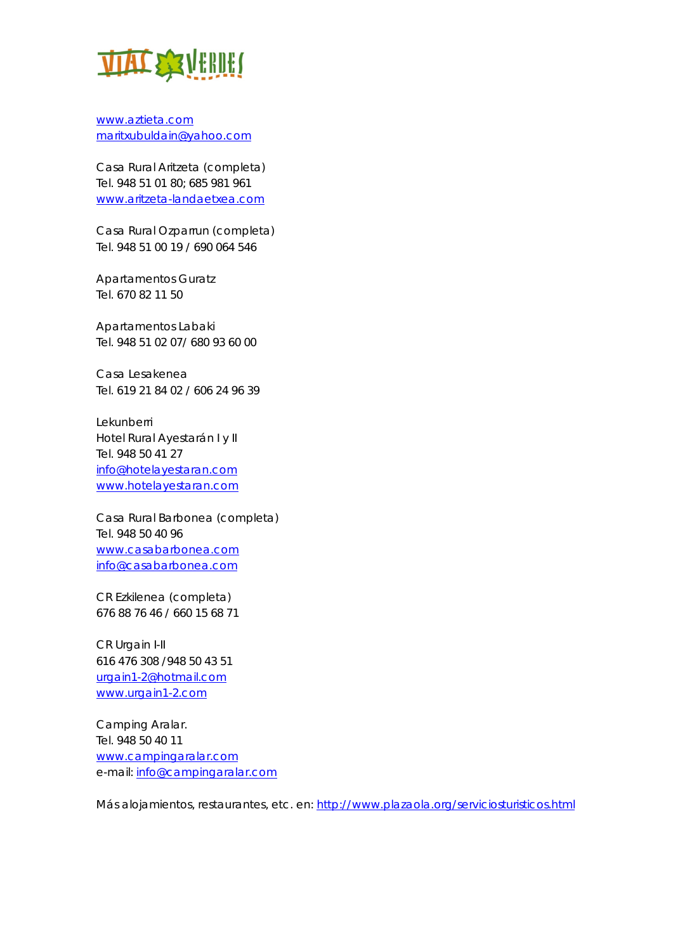

www.aztieta.com maritxubuldain@yahoo.com

Casa Rural Aritzeta (completa) Tel. 948 51 01 80; 685 981 961 www.aritzeta-landaetxea.com

Casa Rural Ozparrun (completa) Tel. 948 51 00 19 / 690 064 546

Apartamentos Guratz Tel. 670 82 11 50

Apartamentos Labaki Tel. 948 51 02 07/ 680 93 60 00

Casa Lesakenea Tel. 619 21 84 02 / 606 24 96 39

Lekunberri Hotel Rural Ayestarán I y II Tel. 948 50 41 27 info@hotelayestaran.com www.hotelayestaran.com

Casa Rural Barbonea (completa) Tel. 948 50 40 96 www.casabarbonea.com info@casabarbonea.com

CR Ezkilenea (completa) 676 88 76 46 / 660 15 68 71

CR Urgain I-II 616 476 308 /948 50 43 51 urgain1-2@hotmail.com www.urgain1-2.com

Camping Aralar. Tel. 948 50 40 11 www.campingaralar.com e-mail: info@campingaralar.com

Más alojamientos, restaurantes, etc. en: http://www.plazaola.org/serviciosturisticos.html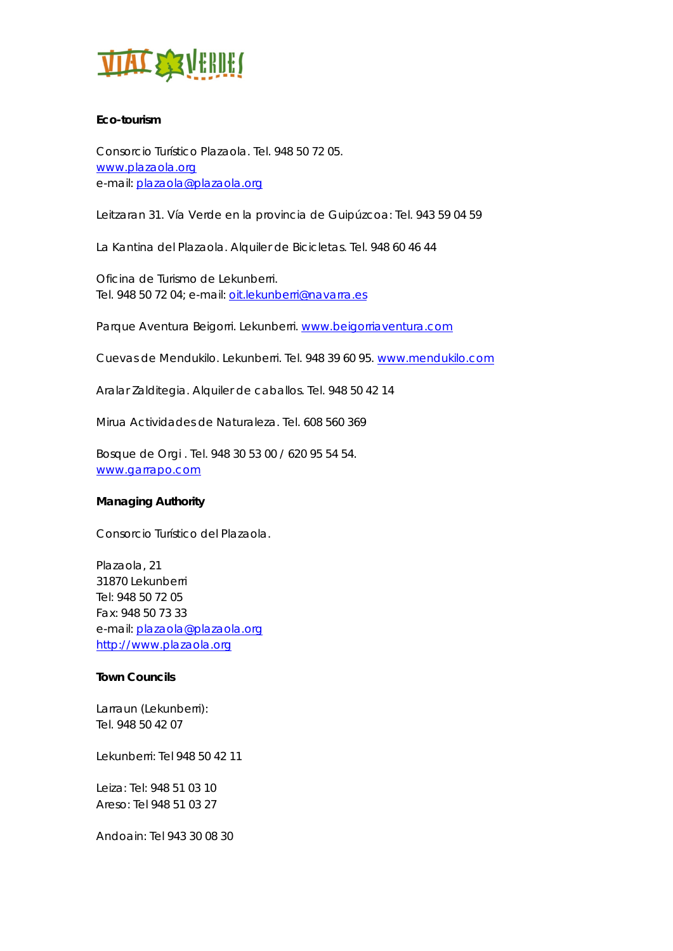

# **Eco-tourism**

Consorcio Turístico Plazaola. Tel. 948 50 72 05. www.plazaola.org e-mail: plazaola@plazaola.org

Leitzaran 31. Vía Verde en la provincia de Guipúzcoa: Tel. 943 59 04 59

La Kantina del Plazaola. Alquiler de Bicicletas. Tel. 948 60 46 44

Oficina de Turismo de Lekunberri. Tel. 948 50 72 04; e-mail: oit.lekunberri@navarra.es

Parque Aventura Beigorri. Lekunberri. www.beigorriaventura.com

Cuevas de Mendukilo. Lekunberri. Tel. 948 39 60 95. www.mendukilo.com

Aralar Zalditegia. Alquiler de caballos. Tel. 948 50 42 14

Mirua Actividades de Naturaleza. Tel. 608 560 369

Bosque de Orgi . Tel. 948 30 53 00 / 620 95 54 54. www.garrapo.com

#### **Managing Authority**

Consorcio Turístico del Plazaola.

Plazaola, 21 31870 Lekunberri Tel: 948 50 72 05 Fax: 948 50 73 33 e-mail: plazaola@plazaola.org http://www.plazaola.org

#### **Town Councils**

Larraun (Lekunberri): Tel. 948 50 42 07

Lekunberri: Tel 948 50 42 11

Leiza: Tel: 948 51 03 10 Areso: Tel 948 51 03 27

Andoain: Tel 943 30 08 30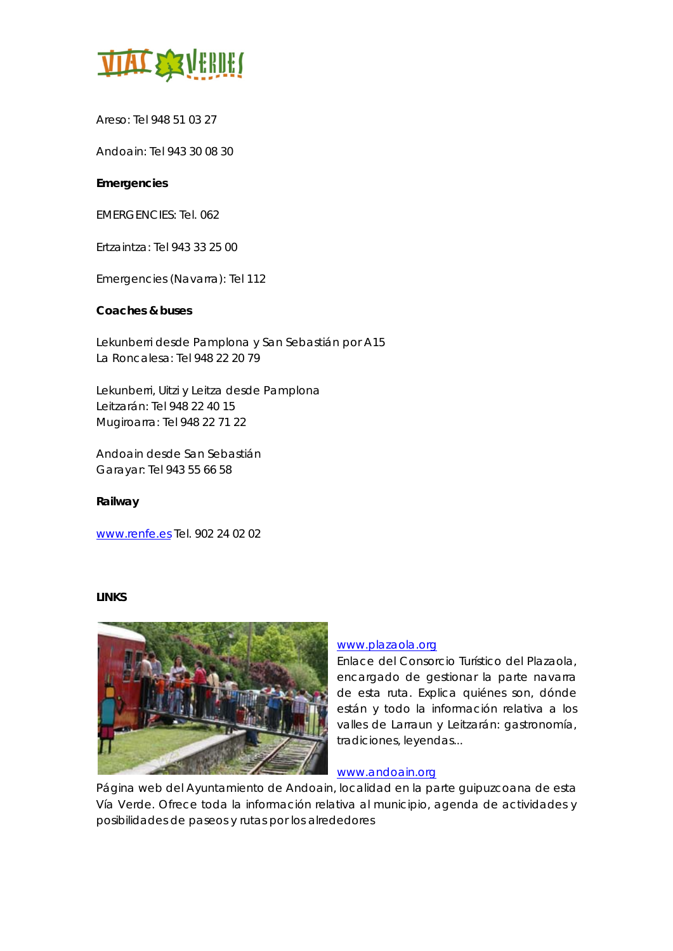

Areso: Tel 948 51 03 27

Andoain: Tel 943 30 08 30

# **Emergencies**

EMERGENCIES: Tel. 062

Ertzaintza: Tel 943 33 25 00

Emergencies (Navarra): Tel 112

# **Coaches & buses**

Lekunberri desde Pamplona y San Sebastián por A15 La Roncalesa: Tel 948 22 20 79

Lekunberri, Uitzi y Leitza desde Pamplona Leitzarán: Tel 948 22 40 15 Mugiroarra: Tel 948 22 71 22

Andoain desde San Sebastián Garayar: Tel 943 55 66 58

#### **Railway**

www.renfe.es Tel. 902 24 02 02

#### **LINKS**



# www.plazaola.org

Enlace del Consorcio Turístico del Plazaola, encargado de gestionar la parte navarra de esta ruta. Explica quiénes son, dónde están y todo la información relativa a los valles de Larraun y Leitzarán: gastronomía, tradiciones, leyendas...

#### www.andoain.org

Página web del Ayuntamiento de Andoain, localidad en la parte guipuzcoana de esta Vía Verde. Ofrece toda la información relativa al municipio, agenda de actividades y posibilidades de paseos y rutas por los alrededores